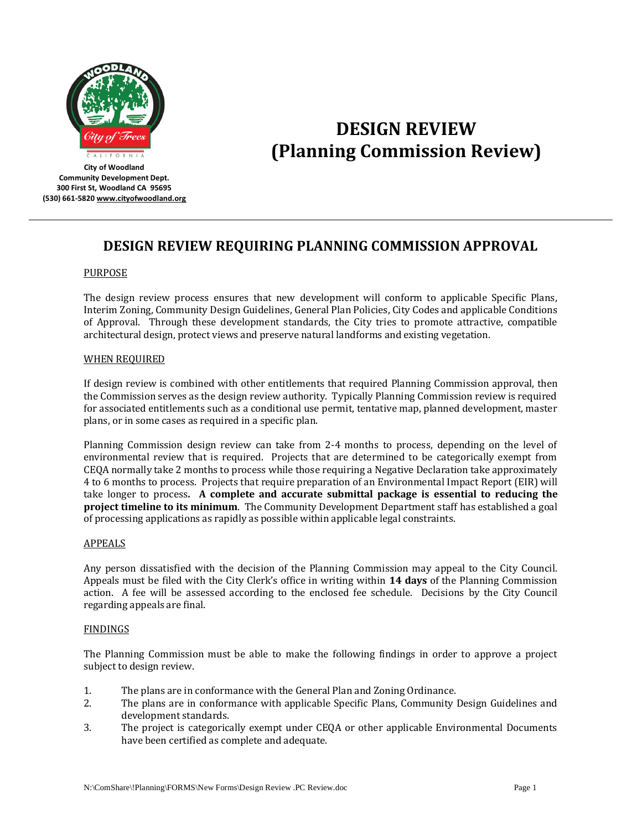

# **DESIGN REVIEW (Planning Commission Review)**

**City of Woodland Community Development Dept. 300 First St, Woodland CA 95695 (530) 661-582[0 www.cityofwoodland.org](http://www.cityofwoodland.org/)**

# **DESIGN REVIEW REQUIRING PLANNING COMMISSION APPROVAL**

# PURPOSE

The design review process ensures that new development will conform to applicable Specific Plans, Interim Zoning, Community Design Guidelines, General Plan Policies, City Codes and applicable Conditions of Approval. Through these development standards, the City tries to promote attractive, compatible architectural design, protect views and preserve natural landforms and existing vegetation.

# WHEN REQUIRED

If design review is combined with other entitlements that required Planning Commission approval, then the Commission serves as the design review authority. Typically Planning Commission review is required for associated entitlements such as a conditional use permit, tentative map, planned development, master plans, or in some cases as required in a specific plan.

Planning Commission design review can take from 2-4 months to process, depending on the level of environmental review that is required. Projects that are determined to be categorically exempt from CEQA normally take 2 months to process while those requiring a Negative Declaration take approximately 4 to 6 months to process. Projects that require preparation of an Environmental Impact Report (EIR) will take longer to process*.* **A complete and accurate submittal package is essential to reducing the project timeline to its minimum**. The Community Development Department staff has established a goal of processing applications as rapidly as possible within applicable legal constraints.

# APPEALS

Any person dissatisfied with the decision of the Planning Commission may appeal to the City Council. Appeals must be filed with the City Clerk's office in writing within **14 days** of the Planning Commission action. A fee will be assessed according to the enclosed fee schedule. Decisions by the City Council regarding appeals are final.

# FINDINGS

The Planning Commission must be able to make the following findings in order to approve a project subject to design review.

- 1. The plans are in conformance with the General Plan and Zoning Ordinance.
- 2. The plans are in conformance with applicable Specific Plans, Community Design Guidelines and development standards.
- 3. The project is categorically exempt under CEQA or other applicable Environmental Documents have been certified as complete and adequate.